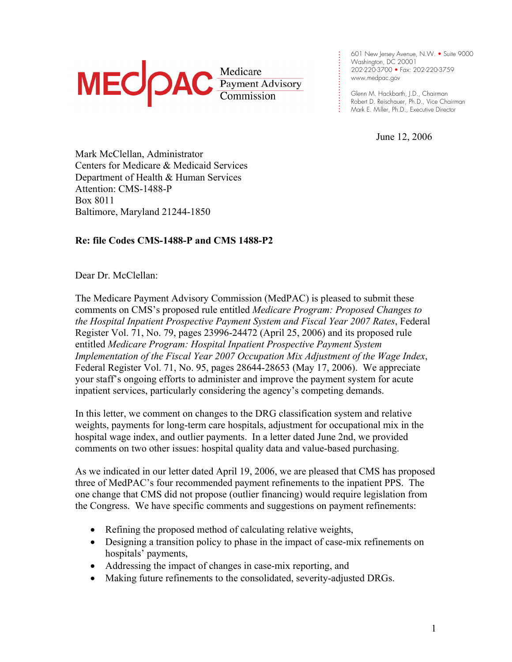# MEC **PAC Medicare**<br> **MEC PAC** *Commission*

: Washington, DC 20001<br>. 202-220-3700 • Fax: 202-220-3759<br>. www.medpac.aov 601 New Jersey Avenue, N.W. • Suite 9000 Washington, DC 20001 www.medpac.gov

. . . .

.

. . . . . . . . . . .

Glenn M. Hackbarth, J.D., Chairman Robert D. Reischauer, Ph.D., Vice Chairman Mark E. Miller, Ph.D., Executive Director

June 12, 2006

Mark McClellan, Administrator Centers for Medicare & Medicaid Services Department of Health & Human Services Attention: CMS-1488-P Box 8011 Baltimore, Maryland 21244-1850

# **Re: file Codes CMS-1488-P and CMS 1488-P2**

Dear Dr. McClellan:

The Medicare Payment Advisory Commission (MedPAC) is pleased to submit these comments on CMS's proposed rule entitled *Medicare Program: Proposed Changes to the Hospital Inpatient Prospective Payment System and Fiscal Year 2007 Rates*, Federal Register Vol. 71, No. 79, pages 23996-24472 (April 25, 2006) and its proposed rule entitled *Medicare Program: Hospital Inpatient Prospective Payment System Implementation of the Fiscal Year 2007 Occupation Mix Adjustment of the Wage Index*, Federal Register Vol. 71, No. 95, pages 28644-28653 (May 17, 2006). We appreciate your staff's ongoing efforts to administer and improve the payment system for acute inpatient services, particularly considering the agency's competing demands.

In this letter, we comment on changes to the DRG classification system and relative weights, payments for long-term care hospitals, adjustment for occupational mix in the hospital wage index, and outlier payments. In a letter dated June 2nd, we provided comments on two other issues: hospital quality data and value-based purchasing.

As we indicated in our letter dated April 19, 2006, we are pleased that CMS has proposed three of MedPAC's four recommended payment refinements to the inpatient PPS. The one change that CMS did not propose (outlier financing) would require legislation from the Congress. We have specific comments and suggestions on payment refinements:

- Refining the proposed method of calculating relative weights,
- Designing a transition policy to phase in the impact of case-mix refinements on hospitals' payments,
- Addressing the impact of changes in case-mix reporting, and
- Making future refinements to the consolidated, severity-adjusted DRGs.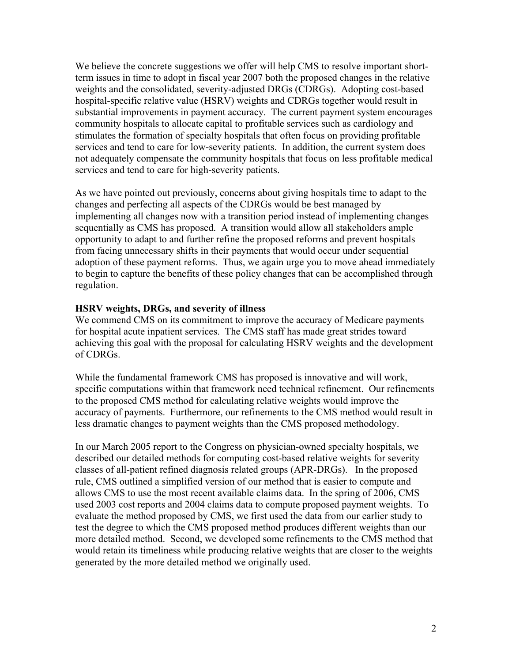We believe the concrete suggestions we offer will help CMS to resolve important shortterm issues in time to adopt in fiscal year 2007 both the proposed changes in the relative weights and the consolidated, severity-adjusted DRGs (CDRGs). Adopting cost-based hospital-specific relative value (HSRV) weights and CDRGs together would result in substantial improvements in payment accuracy. The current payment system encourages community hospitals to allocate capital to profitable services such as cardiology and stimulates the formation of specialty hospitals that often focus on providing profitable services and tend to care for low-severity patients. In addition, the current system does not adequately compensate the community hospitals that focus on less profitable medical services and tend to care for high-severity patients.

As we have pointed out previously, concerns about giving hospitals time to adapt to the changes and perfecting all aspects of the CDRGs would be best managed by implementing all changes now with a transition period instead of implementing changes sequentially as CMS has proposed. A transition would allow all stakeholders ample opportunity to adapt to and further refine the proposed reforms and prevent hospitals from facing unnecessary shifts in their payments that would occur under sequential adoption of these payment reforms. Thus, we again urge you to move ahead immediately to begin to capture the benefits of these policy changes that can be accomplished through regulation.

### **HSRV weights, DRGs, and severity of illness**

We commend CMS on its commitment to improve the accuracy of Medicare payments for hospital acute inpatient services. The CMS staff has made great strides toward achieving this goal with the proposal for calculating HSRV weights and the development of CDRGs.

While the fundamental framework CMS has proposed is innovative and will work, specific computations within that framework need technical refinement. Our refinements to the proposed CMS method for calculating relative weights would improve the accuracy of payments. Furthermore, our refinements to the CMS method would result in less dramatic changes to payment weights than the CMS proposed methodology.

In our March 2005 report to the Congress on physician-owned specialty hospitals, we described our detailed methods for computing cost-based relative weights for severity classes of all-patient refined diagnosis related groups (APR-DRGs). In the proposed rule, CMS outlined a simplified version of our method that is easier to compute and allows CMS to use the most recent available claims data. In the spring of 2006, CMS used 2003 cost reports and 2004 claims data to compute proposed payment weights. To evaluate the method proposed by CMS, we first used the data from our earlier study to test the degree to which the CMS proposed method produces different weights than our more detailed method. Second, we developed some refinements to the CMS method that would retain its timeliness while producing relative weights that are closer to the weights generated by the more detailed method we originally used.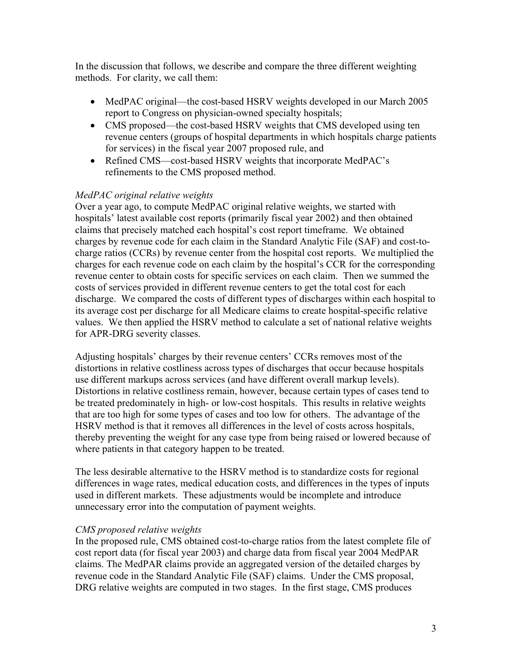In the discussion that follows, we describe and compare the three different weighting methods. For clarity, we call them:

- MedPAC original—the cost-based HSRV weights developed in our March 2005 report to Congress on physician-owned specialty hospitals;
- CMS proposed—the cost-based HSRV weights that CMS developed using ten revenue centers (groups of hospital departments in which hospitals charge patients for services) in the fiscal year 2007 proposed rule, and
- Refined CMS—cost-based HSRV weights that incorporate MedPAC's refinements to the CMS proposed method.

# *MedPAC original relative weights*

Over a year ago, to compute MedPAC original relative weights, we started with hospitals' latest available cost reports (primarily fiscal year 2002) and then obtained claims that precisely matched each hospital's cost report timeframe. We obtained charges by revenue code for each claim in the Standard Analytic File (SAF) and cost-tocharge ratios (CCRs) by revenue center from the hospital cost reports. We multiplied the charges for each revenue code on each claim by the hospital's CCR for the corresponding revenue center to obtain costs for specific services on each claim. Then we summed the costs of services provided in different revenue centers to get the total cost for each discharge. We compared the costs of different types of discharges within each hospital to its average cost per discharge for all Medicare claims to create hospital-specific relative values. We then applied the HSRV method to calculate a set of national relative weights for APR-DRG severity classes.

Adjusting hospitals' charges by their revenue centers' CCRs removes most of the distortions in relative costliness across types of discharges that occur because hospitals use different markups across services (and have different overall markup levels). Distortions in relative costliness remain, however, because certain types of cases tend to be treated predominately in high- or low-cost hospitals. This results in relative weights that are too high for some types of cases and too low for others. The advantage of the HSRV method is that it removes all differences in the level of costs across hospitals, thereby preventing the weight for any case type from being raised or lowered because of where patients in that category happen to be treated.

The less desirable alternative to the HSRV method is to standardize costs for regional differences in wage rates, medical education costs, and differences in the types of inputs used in different markets. These adjustments would be incomplete and introduce unnecessary error into the computation of payment weights.

# *CMS proposed relative weights*

In the proposed rule, CMS obtained cost-to-charge ratios from the latest complete file of cost report data (for fiscal year 2003) and charge data from fiscal year 2004 MedPAR claims. The MedPAR claims provide an aggregated version of the detailed charges by revenue code in the Standard Analytic File (SAF) claims. Under the CMS proposal, DRG relative weights are computed in two stages. In the first stage, CMS produces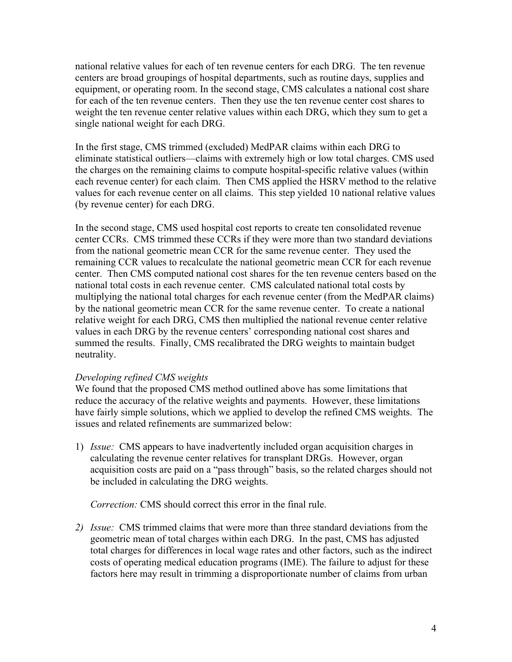national relative values for each of ten revenue centers for each DRG. The ten revenue centers are broad groupings of hospital departments, such as routine days, supplies and equipment, or operating room. In the second stage, CMS calculates a national cost share for each of the ten revenue centers. Then they use the ten revenue center cost shares to weight the ten revenue center relative values within each DRG, which they sum to get a single national weight for each DRG.

In the first stage, CMS trimmed (excluded) MedPAR claims within each DRG to eliminate statistical outliers—claims with extremely high or low total charges. CMS used the charges on the remaining claims to compute hospital-specific relative values (within each revenue center) for each claim. Then CMS applied the HSRV method to the relative values for each revenue center on all claims. This step yielded 10 national relative values (by revenue center) for each DRG.

In the second stage, CMS used hospital cost reports to create ten consolidated revenue center CCRs. CMS trimmed these CCRs if they were more than two standard deviations from the national geometric mean CCR for the same revenue center. They used the remaining CCR values to recalculate the national geometric mean CCR for each revenue center. Then CMS computed national cost shares for the ten revenue centers based on the national total costs in each revenue center. CMS calculated national total costs by multiplying the national total charges for each revenue center (from the MedPAR claims) by the national geometric mean CCR for the same revenue center. To create a national relative weight for each DRG, CMS then multiplied the national revenue center relative values in each DRG by the revenue centers' corresponding national cost shares and summed the results. Finally, CMS recalibrated the DRG weights to maintain budget neutrality.

### *Developing refined CMS weights*

We found that the proposed CMS method outlined above has some limitations that reduce the accuracy of the relative weights and payments. However, these limitations have fairly simple solutions, which we applied to develop the refined CMS weights. The issues and related refinements are summarized below:

1) *Issue:* CMS appears to have inadvertently included organ acquisition charges in calculating the revenue center relatives for transplant DRGs. However, organ acquisition costs are paid on a "pass through" basis, so the related charges should not be included in calculating the DRG weights.

*Correction:* CMS should correct this error in the final rule.

*2) Issue:* CMS trimmed claims that were more than three standard deviations from the geometric mean of total charges within each DRG. In the past, CMS has adjusted total charges for differences in local wage rates and other factors, such as the indirect costs of operating medical education programs (IME). The failure to adjust for these factors here may result in trimming a disproportionate number of claims from urban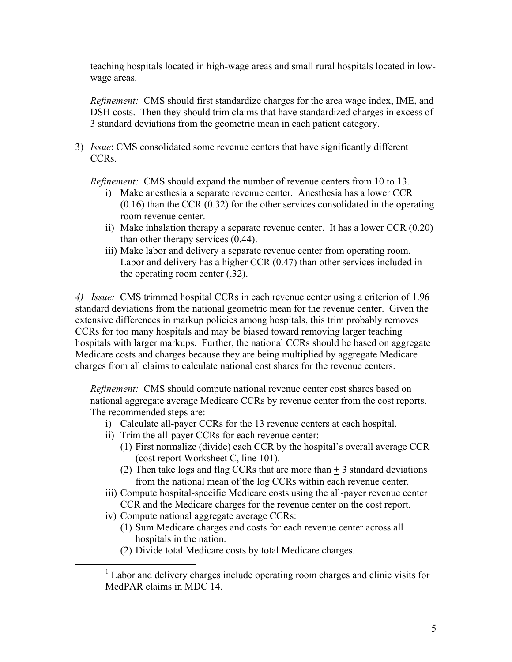teaching hospitals located in high-wage areas and small rural hospitals located in lowwage areas.

*Refinement:* CMS should first standardize charges for the area wage index, IME, and DSH costs. Then they should trim claims that have standardized charges in excess of 3 standard deviations from the geometric mean in each patient category.

3) *Issue*: CMS consolidated some revenue centers that have significantly different CCRs.

*Refinement:* CMS should expand the number of revenue centers from 10 to 13.

- i) Make anesthesia a separate revenue center. Anesthesia has a lower CCR (0.16) than the CCR (0.32) for the other services consolidated in the operating room revenue center.
- ii) Make inhalation therapy a separate revenue center. It has a lower CCR (0.20) than other therapy services (0.44).
- iii) Make labor and delivery a separate revenue center from operating room. Labor and delivery has a higher CCR (0.47) than other services included in the operating room center  $(.32)$ .<sup>1</sup>

*4) Issue:* CMS trimmed hospital CCRs in each revenue center using a criterion of 1.96 standard deviations from the national geometric mean for the revenue center. Given the extensive differences in markup policies among hospitals, this trim probably removes CCRs for too many hospitals and may be biased toward removing larger teaching hospitals with larger markups. Further, the national CCRs should be based on aggregate Medicare costs and charges because they are being multiplied by aggregate Medicare charges from all claims to calculate national cost shares for the revenue centers.

*Refinement:* CMS should compute national revenue center cost shares based on national aggregate average Medicare CCRs by revenue center from the cost reports. The recommended steps are:

- i) Calculate all-payer CCRs for the 13 revenue centers at each hospital.
- ii) Trim the all-payer CCRs for each revenue center:
	- (1) First normalize (divide) each CCR by the hospital's overall average CCR (cost report Worksheet C, line 101).
	- (2) Then take logs and flag CCRs that are more than  $+3$  standard deviations from the national mean of the log CCRs within each revenue center.
- iii) Compute hospital-specific Medicare costs using the all-payer revenue center CCR and the Medicare charges for the revenue center on the cost report.
- iv) Compute national aggregate average CCRs:
	- (1) Sum Medicare charges and costs for each revenue center across all hospitals in the nation.
	- (2) Divide total Medicare costs by total Medicare charges.

<sup>&</sup>lt;u>1</u> <sup>1</sup> Labor and delivery charges include operating room charges and clinic visits for MedPAR claims in MDC 14.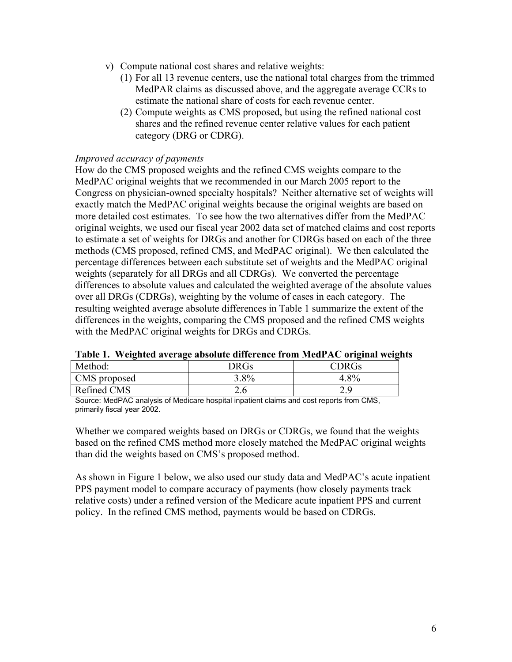- v) Compute national cost shares and relative weights:
	- (1) For all 13 revenue centers, use the national total charges from the trimmed MedPAR claims as discussed above, and the aggregate average CCRs to estimate the national share of costs for each revenue center.
	- (2) Compute weights as CMS proposed, but using the refined national cost shares and the refined revenue center relative values for each patient category (DRG or CDRG).

### *Improved accuracy of payments*

How do the CMS proposed weights and the refined CMS weights compare to the MedPAC original weights that we recommended in our March 2005 report to the Congress on physician-owned specialty hospitals? Neither alternative set of weights will exactly match the MedPAC original weights because the original weights are based on more detailed cost estimates. To see how the two alternatives differ from the MedPAC original weights, we used our fiscal year 2002 data set of matched claims and cost reports to estimate a set of weights for DRGs and another for CDRGs based on each of the three methods (CMS proposed, refined CMS, and MedPAC original). We then calculated the percentage differences between each substitute set of weights and the MedPAC original weights (separately for all DRGs and all CDRGs). We converted the percentage differences to absolute values and calculated the weighted average of the absolute values over all DRGs (CDRGs), weighting by the volume of cases in each category. The resulting weighted average absolute differences in Table 1 summarize the extent of the differences in the weights, comparing the CMS proposed and the refined CMS weights with the MedPAC original weights for DRGs and CDRGs.

| -<br>-<br>Method: | <b>DRGs</b> | <b>DRGs</b>  |
|-------------------|-------------|--------------|
| CMS proposed      | $.8\%$      | $.8\%$       |
| Refined CMS       | ∠.∪         | າ ດ<br>ر . ب |

**Table 1. Weighted average absolute difference from MedPAC original weights** 

Source: MedPAC analysis of Medicare hospital inpatient claims and cost reports from CMS, primarily fiscal year 2002.

Whether we compared weights based on DRGs or CDRGs, we found that the weights based on the refined CMS method more closely matched the MedPAC original weights than did the weights based on CMS's proposed method.

As shown in Figure 1 below, we also used our study data and MedPAC's acute inpatient PPS payment model to compare accuracy of payments (how closely payments track relative costs) under a refined version of the Medicare acute inpatient PPS and current policy. In the refined CMS method, payments would be based on CDRGs.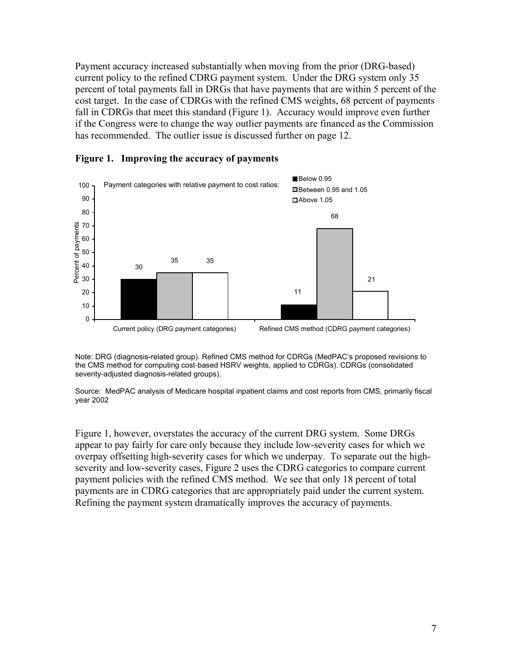Payment accuracy increased substantially when moving from the prior (DRG-based) current policy to the refined CDRG payment system. Under the DRG system only 35 percent of total payments fall in DRGs that have payments that are within 5 percent of the cost target. In the case of CDRGs with the refined CMS weights, 68 percent of payments fall in CDRGs that meet this standard (Figure 1). Accuracy would improve even further if the Congress were to change the way outlier payments are financed as the Commission has recommended. The outlier issue is discussed further on page 12.



### **Figure 1. Improving the accuracy of payments**

Note: DRG (diagnosis-related group). Refined CMS method for CDRGs (MedPAC's proposed revisions to the CMS method for computing cost-based HSRV weights, applied to CDRGs). CDRGs (consolidated severity-adjusted diagnosis-related groups).

Source: MedPAC analysis of Medicare hospital inpatient claims and cost reports from CMS, primarily fiscal year 2002

Figure 1, however, overstates the accuracy of the current DRG system. Some DRGs appear to pay fairly for care only because they include low-severity cases for which we overpay offsetting high-severity cases for which we underpay. To separate out the highseverity and low-severity cases, Figure 2 uses the CDRG categories to compare current payment policies with the refined CMS method. We see that only 18 percent of total payments are in CDRG categories that are appropriately paid under the current system. Refining the payment system dramatically improves the accuracy of payments.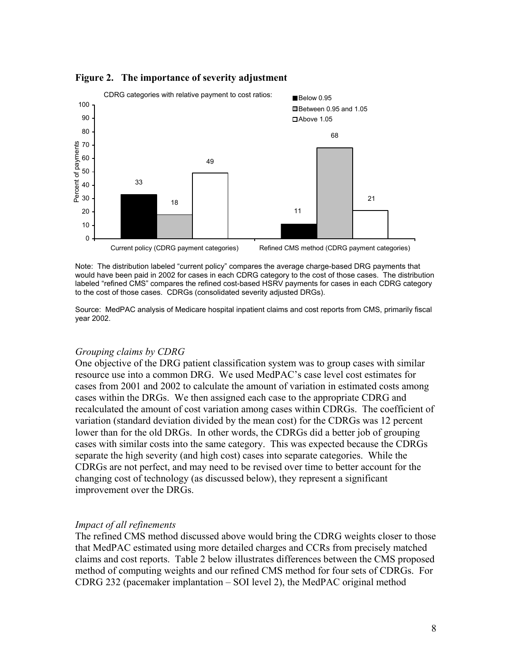

### **Figure 2. The importance of severity adjustment**

Note: The distribution labeled "current policy" compares the average charge-based DRG payments that would have been paid in 2002 for cases in each CDRG category to the cost of those cases. The distribution labeled "refined CMS" compares the refined cost-based HSRV payments for cases in each CDRG category to the cost of those cases. CDRGs (consolidated severity adjusted DRGs).

Source: MedPAC analysis of Medicare hospital inpatient claims and cost reports from CMS, primarily fiscal year 2002.

### *Grouping claims by CDRG*

One objective of the DRG patient classification system was to group cases with similar resource use into a common DRG. We used MedPAC's case level cost estimates for cases from 2001 and 2002 to calculate the amount of variation in estimated costs among cases within the DRGs. We then assigned each case to the appropriate CDRG and recalculated the amount of cost variation among cases within CDRGs. The coefficient of variation (standard deviation divided by the mean cost) for the CDRGs was 12 percent lower than for the old DRGs. In other words, the CDRGs did a better job of grouping cases with similar costs into the same category. This was expected because the CDRGs separate the high severity (and high cost) cases into separate categories. While the CDRGs are not perfect, and may need to be revised over time to better account for the changing cost of technology (as discussed below), they represent a significant improvement over the DRGs.

### *Impact of all refinements*

The refined CMS method discussed above would bring the CDRG weights closer to those that MedPAC estimated using more detailed charges and CCRs from precisely matched claims and cost reports. Table 2 below illustrates differences between the CMS proposed method of computing weights and our refined CMS method for four sets of CDRGs. For CDRG 232 (pacemaker implantation – SOI level 2), the MedPAC original method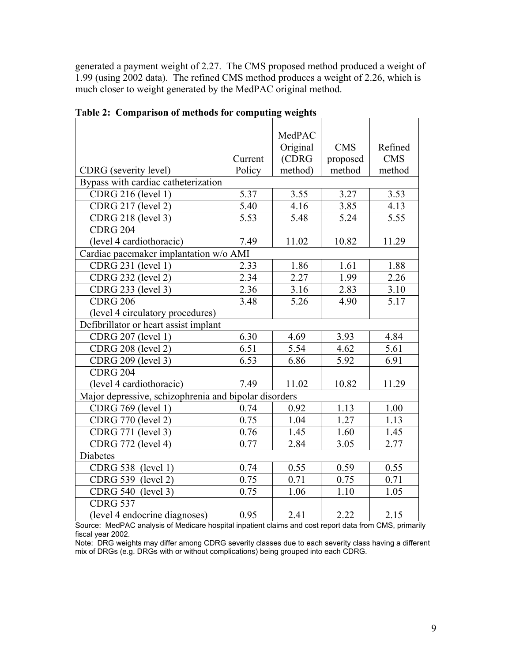generated a payment weight of 2.27. The CMS proposed method produced a weight of 1.99 (using 2002 data). The refined CMS method produces a weight of 2.26, which is much closer to weight generated by the MedPAC original method.

|                                                       |                   | MedPAC   |            |                   |  |  |
|-------------------------------------------------------|-------------------|----------|------------|-------------------|--|--|
|                                                       |                   | Original | <b>CMS</b> | Refined           |  |  |
|                                                       | Current           | (CDRG    | proposed   | <b>CMS</b>        |  |  |
| CDRG (severity level)                                 | Policy            | method)  | method     | method            |  |  |
| Bypass with cardiac catheterization                   |                   |          |            |                   |  |  |
| <b>CDRG 216 (level 1)</b>                             | 5.37              | 3.55     | 3.27       | 3.53              |  |  |
| <b>CDRG 217 (level 2)</b>                             | 5.40              | 4.16     | 3.85       | 4.13              |  |  |
| <b>CDRG 218 (level 3)</b>                             | 5.53              | 5.48     | 5.24       | 5.55              |  |  |
| <b>CDRG 204</b>                                       |                   |          |            |                   |  |  |
| (level 4 cardiothoracic)                              | 7.49              | 11.02    | 10.82      | 11.29             |  |  |
| Cardiac pacemaker implantation w/o AMI                |                   |          |            |                   |  |  |
| CDRG 231 (level 1)                                    | 2.33              | 1.86     | 1.61       | 1.88              |  |  |
| <b>CDRG 232 (level 2)</b>                             | 2.34              | 2.27     | 1.99       | 2.26              |  |  |
| CDRG 233 (level 3)                                    | $\overline{2.36}$ | 3.16     | 2.83       | 3.10              |  |  |
| <b>CDRG 206</b>                                       | 3.48              | 5.26     | 4.90       | 5.17              |  |  |
| (level 4 circulatory procedures)                      |                   |          |            |                   |  |  |
| Defibrillator or heart assist implant                 |                   |          |            |                   |  |  |
| CDRG 207 (level 1)                                    | 6.30              | 4.69     | 3.93       | 4.84              |  |  |
| <b>CDRG 208 (level 2)</b>                             | 6.51              | 5.54     | 4.62       | 5.61              |  |  |
| CDRG 209 (level 3)                                    | 6.53              | 6.86     | 5.92       | 6.91              |  |  |
| <b>CDRG 204</b>                                       |                   |          |            |                   |  |  |
| (level 4 cardiothoracic)                              | 7.49              | 11.02    | 10.82      | 11.29             |  |  |
| Major depressive, schizophrenia and bipolar disorders |                   |          |            |                   |  |  |
| CDRG 769 (level 1)                                    | 0.74              | 0.92     | 1.13       | 1.00              |  |  |
| <b>CDRG 770 (level 2)</b>                             | 0.75              | 1.04     | 1.27       | 1.13              |  |  |
| CDRG 771 (level 3)                                    | 0.76              | 1.45     | 1.60       | 1.45              |  |  |
| CDRG 772 (level 4)                                    | 0.77              | 2.84     | 3.05       | $2.\overline{77}$ |  |  |
| <b>Diabetes</b>                                       |                   |          |            |                   |  |  |
| CDRG 538 (level 1)                                    | 0.74              | 0.55     | 0.59       | 0.55              |  |  |
| CDRG 539 (level 2)                                    | 0.75              | 0.71     | 0.75       | 0.71              |  |  |
| CDRG 540 (level 3)                                    | 0.75              | 1.06     | 1.10       | 1.05              |  |  |
| <b>CDRG 537</b>                                       |                   |          |            |                   |  |  |
| (level 4 endocrine diagnoses)                         | 0.95              | 2.41     | 2.22       | 2.15              |  |  |

**Table 2: Comparison of methods for computing weights** 

Source: MedPAC analysis of Medicare hospital inpatient claims and cost report data from CMS, primarily fiscal year 2002.

Note: DRG weights may differ among CDRG severity classes due to each severity class having a different mix of DRGs (e.g. DRGs with or without complications) being grouped into each CDRG.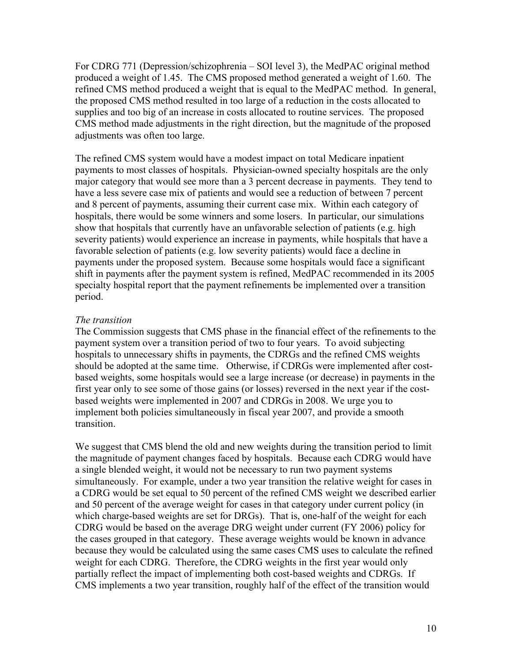For CDRG 771 (Depression/schizophrenia – SOI level 3), the MedPAC original method produced a weight of 1.45. The CMS proposed method generated a weight of 1.60. The refined CMS method produced a weight that is equal to the MedPAC method. In general, the proposed CMS method resulted in too large of a reduction in the costs allocated to supplies and too big of an increase in costs allocated to routine services. The proposed CMS method made adjustments in the right direction, but the magnitude of the proposed adjustments was often too large.

The refined CMS system would have a modest impact on total Medicare inpatient payments to most classes of hospitals. Physician-owned specialty hospitals are the only major category that would see more than a 3 percent decrease in payments. They tend to have a less severe case mix of patients and would see a reduction of between 7 percent and 8 percent of payments, assuming their current case mix. Within each category of hospitals, there would be some winners and some losers. In particular, our simulations show that hospitals that currently have an unfavorable selection of patients (e.g. high severity patients) would experience an increase in payments, while hospitals that have a favorable selection of patients (e.g. low severity patients) would face a decline in payments under the proposed system. Because some hospitals would face a significant shift in payments after the payment system is refined, MedPAC recommended in its 2005 specialty hospital report that the payment refinements be implemented over a transition period.

### *The transition*

The Commission suggests that CMS phase in the financial effect of the refinements to the payment system over a transition period of two to four years. To avoid subjecting hospitals to unnecessary shifts in payments, the CDRGs and the refined CMS weights should be adopted at the same time. Otherwise, if CDRGs were implemented after costbased weights, some hospitals would see a large increase (or decrease) in payments in the first year only to see some of those gains (or losses) reversed in the next year if the costbased weights were implemented in 2007 and CDRGs in 2008. We urge you to implement both policies simultaneously in fiscal year 2007, and provide a smooth transition.

We suggest that CMS blend the old and new weights during the transition period to limit the magnitude of payment changes faced by hospitals. Because each CDRG would have a single blended weight, it would not be necessary to run two payment systems simultaneously. For example, under a two year transition the relative weight for cases in a CDRG would be set equal to 50 percent of the refined CMS weight we described earlier and 50 percent of the average weight for cases in that category under current policy (in which charge-based weights are set for DRGs). That is, one-half of the weight for each CDRG would be based on the average DRG weight under current (FY 2006) policy for the cases grouped in that category. These average weights would be known in advance because they would be calculated using the same cases CMS uses to calculate the refined weight for each CDRG. Therefore, the CDRG weights in the first year would only partially reflect the impact of implementing both cost-based weights and CDRGs. If CMS implements a two year transition, roughly half of the effect of the transition would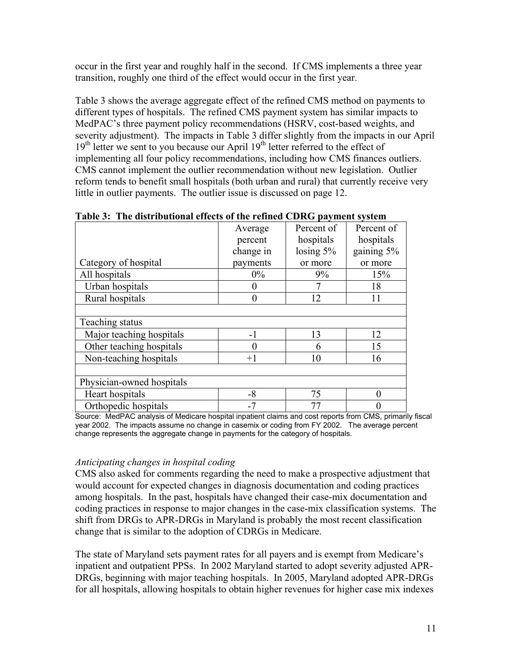occur in the first year and roughly half in the second. If CMS implements a three year transition, roughly one third of the effect would occur in the first year.

Table 3 shows the average aggregate effect of the refined CMS method on payments to different types of hospitals. The refined CMS payment system has similar impacts to MedPAC's three payment policy recommendations (HSRV, cost-based weights, and severity adjustment). The impacts in Table 3 differ slightly from the impacts in our April 19<sup>th</sup> letter we sent to you because our April 19<sup>th</sup> letter referred to the effect of implementing all four policy recommendations, including how CMS finances outliers. CMS cannot implement the outlier recommendation without new legislation. Outlier reform tends to benefit small hospitals (both urban and rural) that currently receive very little in outlier payments. The outlier issue is discussed on page 12.

|                           | Average        | Percent of  | Percent of |
|---------------------------|----------------|-------------|------------|
|                           | percent        | hospitals   | hospitals  |
|                           | change in      | losing $5%$ | gaining 5% |
| Category of hospital      | payments       | or more     | or more    |
| All hospitals             | $0\%$          | 9%          | 15%        |
| Urban hospitals           | 0              |             | 18         |
| Rural hospitals           | $\overline{0}$ | 12          | 11         |
|                           |                |             |            |
| Teaching status           |                |             |            |
| Major teaching hospitals  | $-1$           | 13          | 12         |
| Other teaching hospitals  | 0              | 6           | 15         |
| Non-teaching hospitals    | $+1$           | 10          | 16         |
|                           |                |             |            |
| Physician-owned hospitals |                |             |            |
| Heart hospitals           | -8             | 75          | 0          |
| Orthopedic hospitals      | $-7$           | 77          |            |

**Table 3: The distributional effects of the refined CDRG payment system** 

Source: MedPAC analysis of Medicare hospital inpatient claims and cost reports from CMS, primarily fiscal year 2002. The impacts assume no change in casemix or coding from FY 2002. The average percent change represents the aggregate change in payments for the category of hospitals.

# *Anticipating changes in hospital coding*

CMS also asked for comments regarding the need to make a prospective adjustment that would account for expected changes in diagnosis documentation and coding practices among hospitals. In the past, hospitals have changed their case-mix documentation and coding practices in response to major changes in the case-mix classification systems. The shift from DRGs to APR-DRGs in Maryland is probably the most recent classification change that is similar to the adoption of CDRGs in Medicare.

The state of Maryland sets payment rates for all payers and is exempt from Medicare's inpatient and outpatient PPSs. In 2002 Maryland started to adopt severity adjusted APR-DRGs, beginning with major teaching hospitals. In 2005, Maryland adopted APR-DRGs for all hospitals, allowing hospitals to obtain higher revenues for higher case mix indexes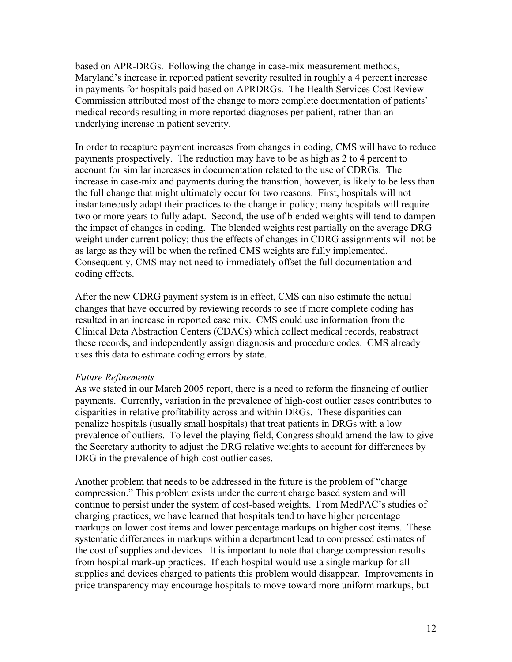based on APR-DRGs. Following the change in case-mix measurement methods, Maryland's increase in reported patient severity resulted in roughly a 4 percent increase in payments for hospitals paid based on APRDRGs. The Health Services Cost Review Commission attributed most of the change to more complete documentation of patients' medical records resulting in more reported diagnoses per patient, rather than an underlying increase in patient severity.

In order to recapture payment increases from changes in coding, CMS will have to reduce payments prospectively. The reduction may have to be as high as 2 to 4 percent to account for similar increases in documentation related to the use of CDRGs. The increase in case-mix and payments during the transition, however, is likely to be less than the full change that might ultimately occur for two reasons. First, hospitals will not instantaneously adapt their practices to the change in policy; many hospitals will require two or more years to fully adapt. Second, the use of blended weights will tend to dampen the impact of changes in coding. The blended weights rest partially on the average DRG weight under current policy; thus the effects of changes in CDRG assignments will not be as large as they will be when the refined CMS weights are fully implemented. Consequently, CMS may not need to immediately offset the full documentation and coding effects.

After the new CDRG payment system is in effect, CMS can also estimate the actual changes that have occurred by reviewing records to see if more complete coding has resulted in an increase in reported case mix. CMS could use information from the Clinical Data Abstraction Centers (CDACs) which collect medical records, reabstract these records, and independently assign diagnosis and procedure codes. CMS already uses this data to estimate coding errors by state.

### *Future Refinements*

As we stated in our March 2005 report, there is a need to reform the financing of outlier payments. Currently, variation in the prevalence of high-cost outlier cases contributes to disparities in relative profitability across and within DRGs. These disparities can penalize hospitals (usually small hospitals) that treat patients in DRGs with a low prevalence of outliers. To level the playing field, Congress should amend the law to give the Secretary authority to adjust the DRG relative weights to account for differences by DRG in the prevalence of high-cost outlier cases.

Another problem that needs to be addressed in the future is the problem of "charge compression." This problem exists under the current charge based system and will continue to persist under the system of cost-based weights. From MedPAC's studies of charging practices, we have learned that hospitals tend to have higher percentage markups on lower cost items and lower percentage markups on higher cost items. These systematic differences in markups within a department lead to compressed estimates of the cost of supplies and devices. It is important to note that charge compression results from hospital mark-up practices. If each hospital would use a single markup for all supplies and devices charged to patients this problem would disappear. Improvements in price transparency may encourage hospitals to move toward more uniform markups, but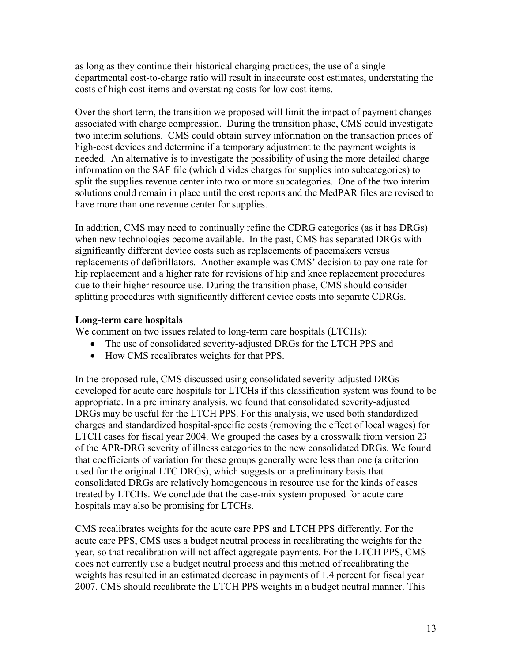as long as they continue their historical charging practices, the use of a single departmental cost-to-charge ratio will result in inaccurate cost estimates, understating the costs of high cost items and overstating costs for low cost items.

Over the short term, the transition we proposed will limit the impact of payment changes associated with charge compression. During the transition phase, CMS could investigate two interim solutions. CMS could obtain survey information on the transaction prices of high-cost devices and determine if a temporary adjustment to the payment weights is needed. An alternative is to investigate the possibility of using the more detailed charge information on the SAF file (which divides charges for supplies into subcategories) to split the supplies revenue center into two or more subcategories. One of the two interim solutions could remain in place until the cost reports and the MedPAR files are revised to have more than one revenue center for supplies.

In addition, CMS may need to continually refine the CDRG categories (as it has DRGs) when new technologies become available. In the past, CMS has separated DRGs with significantly different device costs such as replacements of pacemakers versus replacements of defibrillators. Another example was CMS' decision to pay one rate for hip replacement and a higher rate for revisions of hip and knee replacement procedures due to their higher resource use. During the transition phase, CMS should consider splitting procedures with significantly different device costs into separate CDRGs.

## **Long-term care hospitals**

We comment on two issues related to long-term care hospitals (LTCHs):

- The use of consolidated severity-adjusted DRGs for the LTCH PPS and
- How CMS recalibrates weights for that PPS.

In the proposed rule, CMS discussed using consolidated severity-adjusted DRGs developed for acute care hospitals for LTCHs if this classification system was found to be appropriate. In a preliminary analysis, we found that consolidated severity-adjusted DRGs may be useful for the LTCH PPS. For this analysis, we used both standardized charges and standardized hospital-specific costs (removing the effect of local wages) for LTCH cases for fiscal year 2004. We grouped the cases by a crosswalk from version 23 of the APR-DRG severity of illness categories to the new consolidated DRGs. We found that coefficients of variation for these groups generally were less than one (a criterion used for the original LTC DRGs), which suggests on a preliminary basis that consolidated DRGs are relatively homogeneous in resource use for the kinds of cases treated by LTCHs. We conclude that the case-mix system proposed for acute care hospitals may also be promising for LTCHs.

CMS recalibrates weights for the acute care PPS and LTCH PPS differently. For the acute care PPS, CMS uses a budget neutral process in recalibrating the weights for the year, so that recalibration will not affect aggregate payments. For the LTCH PPS, CMS does not currently use a budget neutral process and this method of recalibrating the weights has resulted in an estimated decrease in payments of 1.4 percent for fiscal year 2007. CMS should recalibrate the LTCH PPS weights in a budget neutral manner. This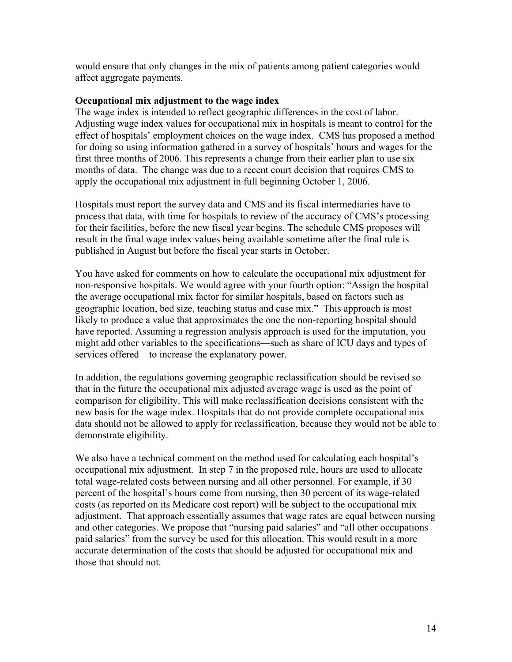would ensure that only changes in the mix of patients among patient categories would affect aggregate payments.

### **Occupational mix adjustment to the wage index**

The wage index is intended to reflect geographic differences in the cost of labor. Adjusting wage index values for occupational mix in hospitals is meant to control for the effect of hospitals' employment choices on the wage index. CMS has proposed a method for doing so using information gathered in a survey of hospitals' hours and wages for the first three months of 2006. This represents a change from their earlier plan to use six months of data. The change was due to a recent court decision that requires CMS to apply the occupational mix adjustment in full beginning October 1, 2006.

Hospitals must report the survey data and CMS and its fiscal intermediaries have to process that data, with time for hospitals to review of the accuracy of CMS's processing for their facilities, before the new fiscal year begins. The schedule CMS proposes will result in the final wage index values being available sometime after the final rule is published in August but before the fiscal year starts in October.

You have asked for comments on how to calculate the occupational mix adjustment for non-responsive hospitals. We would agree with your fourth option: "Assign the hospital the average occupational mix factor for similar hospitals, based on factors such as geographic location, bed size, teaching status and case mix." This approach is most likely to produce a value that approximates the one the non-reporting hospital should have reported. Assuming a regression analysis approach is used for the imputation, you might add other variables to the specifications—such as share of ICU days and types of services offered—to increase the explanatory power.

In addition, the regulations governing geographic reclassification should be revised so that in the future the occupational mix adjusted average wage is used as the point of comparison for eligibility. This will make reclassification decisions consistent with the new basis for the wage index. Hospitals that do not provide complete occupational mix data should not be allowed to apply for reclassification, because they would not be able to demonstrate eligibility.

We also have a technical comment on the method used for calculating each hospital's occupational mix adjustment. In step 7 in the proposed rule, hours are used to allocate total wage-related costs between nursing and all other personnel. For example, if 30 percent of the hospital's hours come from nursing, then 30 percent of its wage-related costs (as reported on its Medicare cost report) will be subject to the occupational mix adjustment. That approach essentially assumes that wage rates are equal between nursing and other categories. We propose that "nursing paid salaries" and "all other occupations paid salaries" from the survey be used for this allocation. This would result in a more accurate determination of the costs that should be adjusted for occupational mix and those that should not.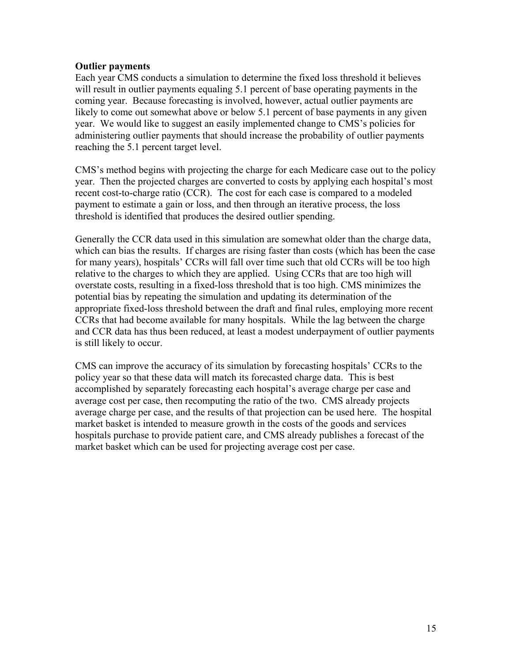### **Outlier payments**

Each year CMS conducts a simulation to determine the fixed loss threshold it believes will result in outlier payments equaling 5.1 percent of base operating payments in the coming year. Because forecasting is involved, however, actual outlier payments are likely to come out somewhat above or below 5.1 percent of base payments in any given year. We would like to suggest an easily implemented change to CMS's policies for administering outlier payments that should increase the probability of outlier payments reaching the 5.1 percent target level.

CMS's method begins with projecting the charge for each Medicare case out to the policy year. Then the projected charges are converted to costs by applying each hospital's most recent cost-to-charge ratio (CCR). The cost for each case is compared to a modeled payment to estimate a gain or loss, and then through an iterative process, the loss threshold is identified that produces the desired outlier spending.

Generally the CCR data used in this simulation are somewhat older than the charge data, which can bias the results. If charges are rising faster than costs (which has been the case for many years), hospitals' CCRs will fall over time such that old CCRs will be too high relative to the charges to which they are applied. Using CCRs that are too high will overstate costs, resulting in a fixed-loss threshold that is too high. CMS minimizes the potential bias by repeating the simulation and updating its determination of the appropriate fixed-loss threshold between the draft and final rules, employing more recent CCRs that had become available for many hospitals. While the lag between the charge and CCR data has thus been reduced, at least a modest underpayment of outlier payments is still likely to occur.

CMS can improve the accuracy of its simulation by forecasting hospitals' CCRs to the policy year so that these data will match its forecasted charge data. This is best accomplished by separately forecasting each hospital's average charge per case and average cost per case, then recomputing the ratio of the two. CMS already projects average charge per case, and the results of that projection can be used here. The hospital market basket is intended to measure growth in the costs of the goods and services hospitals purchase to provide patient care, and CMS already publishes a forecast of the market basket which can be used for projecting average cost per case.